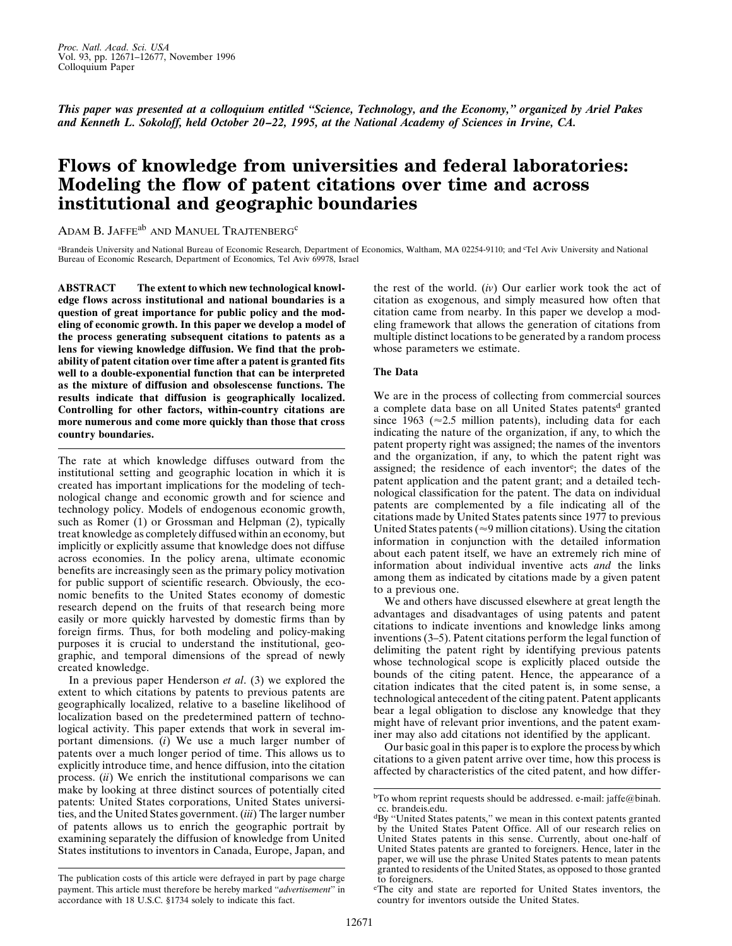*This paper was presented at a colloquium entitled ''Science, Technology, and the Economy,'' organized by Ariel Pakes and Kenneth L. Sokoloff, held October 20–22, 1995, at the National Academy of Sciences in Irvine, CA.*

# **Flows of knowledge from universities and federal laboratories: Modeling the flow of patent citations over time and across institutional and geographic boundaries**

ADAM B. JAFFE<sup>ab</sup> AND MANUEL TRAJTENBERG<sup>C</sup>

<sup>a</sup>Brandeis University and National Bureau of Economic Research, Department of Economics, Waltham, MA 02254-9110; and °Tel Aviv University and National Bureau of Economic Research, Department of Economics, Tel Aviv 69978, Israel

**ABSTRACT The extent to which new technological knowledge flows across institutional and national boundaries is a question of great importance for public policy and the modeling of economic growth. In this paper we develop a model of the process generating subsequent citations to patents as a lens for viewing knowledge diffusion. We find that the probability of patent citation over time after a patent is granted fits well to a double-exponential function that can be interpreted as the mixture of diffusion and obsolescense functions. The results indicate that diffusion is geographically localized. Controlling for other factors, within-country citations are more numerous and come more quickly than those that cross country boundaries.**

The rate at which knowledge diffuses outward from the institutional setting and geographic location in which it is created has important implications for the modeling of technological change and economic growth and for science and technology policy. Models of endogenous economic growth, such as Romer (1) or Grossman and Helpman (2), typically treat knowledge as completely diffused within an economy, but implicitly or explicitly assume that knowledge does not diffuse across economies. In the policy arena, ultimate economic benefits are increasingly seen as the primary policy motivation for public support of scientific research. Obviously, the economic benefits to the United States economy of domestic research depend on the fruits of that research being more easily or more quickly harvested by domestic firms than by foreign firms. Thus, for both modeling and policy-making purposes it is crucial to understand the institutional, geographic, and temporal dimensions of the spread of newly created knowledge.

In a previous paper Henderson *et al*. (3) we explored the extent to which citations by patents to previous patents are geographically localized, relative to a baseline likelihood of localization based on the predetermined pattern of technological activity. This paper extends that work in several important dimensions. (*i*) We use a much larger number of patents over a much longer period of time. This allows us to explicitly introduce time, and hence diffusion, into the citation process. (*ii*) We enrich the institutional comparisons we can make by looking at three distinct sources of potentially cited patents: United States corporations, United States universities, and the United States government. (*iii*) The larger number of patents allows us to enrich the geographic portrait by examining separately the diffusion of knowledge from United States institutions to inventors in Canada, Europe, Japan, and

The publication costs of this article were defrayed in part by page charge payment. This article must therefore be hereby marked ''*advertisement*'' in accordance with 18 U.S.C. §1734 solely to indicate this fact.

the rest of the world. (*iv*) Our earlier work took the act of citation as exogenous, and simply measured how often that citation came from nearby. In this paper we develop a modeling framework that allows the generation of citations from multiple distinct locations to be generated by a random process whose parameters we estimate.

# **The Data**

We are in the process of collecting from commercial sources a complete data base on all United States patents<sup>d</sup> granted since 1963 ( $\approx$ 2.5 million patents), including data for each indicating the nature of the organization, if any, to which the patent property right was assigned; the names of the inventors and the organization, if any, to which the patent right was assigned; the residence of each inventore; the dates of the patent application and the patent grant; and a detailed technological classification for the patent. The data on individual patents are complemented by a file indicating all of the citations made by United States patents since 1977 to previous United States patents ( $\approx$ 9 million citations). Using the citation information in conjunction with the detailed information about each patent itself, we have an extremely rich mine of information about individual inventive acts *and* the links among them as indicated by citations made by a given patent to a previous one.

We and others have discussed elsewhere at great length the advantages and disadvantages of using patents and patent citations to indicate inventions and knowledge links among inventions (3–5). Patent citations perform the legal function of delimiting the patent right by identifying previous patents whose technological scope is explicitly placed outside the bounds of the citing patent. Hence, the appearance of a citation indicates that the cited patent is, in some sense, a technological antecedent of the citing patent. Patent applicants bear a legal obligation to disclose any knowledge that they might have of relevant prior inventions, and the patent examiner may also add citations not identified by the applicant.

Our basic goal in this paper is to explore the process by which citations to a given patent arrive over time, how this process is affected by characteristics of the cited patent, and how differ-

bTo whom reprint requests should be addressed. e-mail: jaffe@binah. cc. brandeis.edu.

dBy ''United States patents,'' we mean in this context patents granted by the United States Patent Office. All of our research relies on United States patents in this sense. Currently, about one-half of United States patents are granted to foreigners. Hence, later in the paper, we will use the phrase United States patents to mean patents granted to residents of the United States, as opposed to those granted to foreigners.

eThe city and state are reported for United States inventors, the country for inventors outside the United States.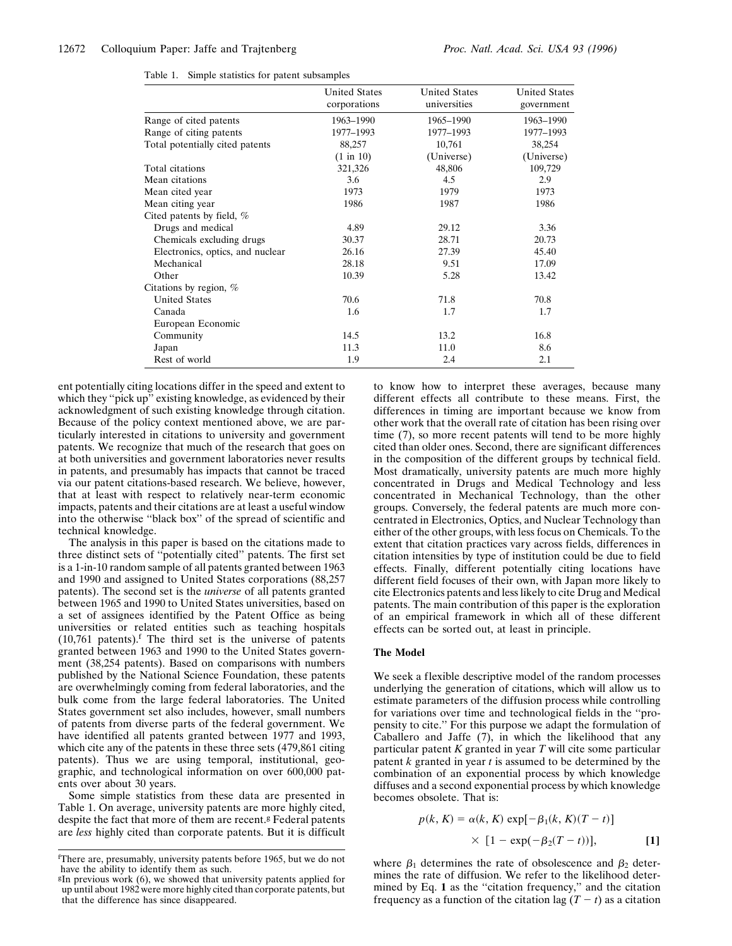|                                  | <b>United States</b><br>corporations | <b>United States</b><br>universities | <b>United States</b><br>government |
|----------------------------------|--------------------------------------|--------------------------------------|------------------------------------|
| Range of cited patents           | 1963–1990                            | 1965–1990                            | 1963-1990                          |
| Range of citing patents          | 1977-1993                            | 1977-1993                            | 1977-1993                          |
| Total potentially cited patents  | 88,257                               | 10,761                               | 38,254                             |
|                                  | $(1 \text{ in } 10)$                 | (Universe)                           | (Universe)                         |
| Total citations                  | 321,326                              | 48,806                               | 109,729                            |
| Mean citations                   | 3.6                                  | 4.5                                  | 2.9                                |
| Mean cited year                  | 1973                                 | 1979                                 | 1973                               |
| Mean citing year                 | 1986                                 | 1987                                 | 1986                               |
| Cited patents by field, %        |                                      |                                      |                                    |
| Drugs and medical                | 4.89                                 | 29.12                                | 3.36                               |
| Chemicals excluding drugs        | 30.37                                | 28.71                                | 20.73                              |
| Electronics, optics, and nuclear | 26.16                                | 27.39                                | 45.40                              |
| Mechanical                       | 28.18                                | 9.51                                 | 17.09                              |
| Other                            | 10.39                                | 5.28                                 | 13.42                              |
| Citations by region, $%$         |                                      |                                      |                                    |
| <b>United States</b>             | 70.6                                 | 71.8                                 | 70.8                               |
| Canada                           | 1.6                                  | 1.7                                  | 1.7                                |
| European Economic                |                                      |                                      |                                    |
| Community                        | 14.5                                 | 13.2                                 | 16.8                               |
| Japan                            | 11.3                                 | 11.0                                 | 8.6                                |
| Rest of world                    | 1.9                                  | 2.4                                  | 2.1                                |

|  |  | Table 1. Simple statistics for patent subsamples |
|--|--|--------------------------------------------------|
|  |  |                                                  |

ent potentially citing locations differ in the speed and extent to which they "pick up" existing knowledge, as evidenced by their acknowledgment of such existing knowledge through citation. Because of the policy context mentioned above, we are particularly interested in citations to university and government patents. We recognize that much of the research that goes on at both universities and government laboratories never results in patents, and presumably has impacts that cannot be traced via our patent citations-based research. We believe, however, that at least with respect to relatively near-term economic impacts, patents and their citations are at least a useful window into the otherwise ''black box'' of the spread of scientific and technical knowledge.

The analysis in this paper is based on the citations made to three distinct sets of ''potentially cited'' patents. The first set is a 1-in-10 random sample of all patents granted between 1963 and 1990 and assigned to United States corporations (88,257 patents). The second set is the *universe* of all patents granted between 1965 and 1990 to United States universities, based on a set of assignees identified by the Patent Office as being universities or related entities such as teaching hospitals  $(10,761)$  patents).<sup>f</sup> The third set is the universe of patents granted between 1963 and 1990 to the United States government (38,254 patents). Based on comparisons with numbers published by the National Science Foundation, these patents are overwhelmingly coming from federal laboratories, and the bulk come from the large federal laboratories. The United States government set also includes, however, small numbers of patents from diverse parts of the federal government. We have identified all patents granted between 1977 and 1993, which cite any of the patents in these three sets (479,861 citing patents). Thus we are using temporal, institutional, geographic, and technological information on over 600,000 patents over about 30 years.

Some simple statistics from these data are presented in Table 1. On average, university patents are more highly cited, despite the fact that more of them are recent.<sup>g</sup> Federal patents are *less* highly cited than corporate patents. But it is difficult

to know how to interpret these averages, because many different effects all contribute to these means. First, the differences in timing are important because we know from other work that the overall rate of citation has been rising over time (7), so more recent patents will tend to be more highly cited than older ones. Second, there are significant differences in the composition of the different groups by technical field. Most dramatically, university patents are much more highly concentrated in Drugs and Medical Technology and less concentrated in Mechanical Technology, than the other groups. Conversely, the federal patents are much more concentrated in Electronics, Optics, and Nuclear Technology than either of the other groups, with less focus on Chemicals. To the extent that citation practices vary across fields, differences in citation intensities by type of institution could be due to field effects. Finally, different potentially citing locations have different field focuses of their own, with Japan more likely to cite Electronics patents and less likely to cite Drug and Medical patents. The main contribution of this paper is the exploration of an empirical framework in which all of these different effects can be sorted out, at least in principle.

### **The Model**

We seek a flexible descriptive model of the random processes underlying the generation of citations, which will allow us to estimate parameters of the diffusion process while controlling for variations over time and technological fields in the ''propensity to cite.'' For this purpose we adapt the formulation of Caballero and Jaffe (7), in which the likelihood that any particular patent *K* granted in year *T* will cite some particular patent *k* granted in year *t* is assumed to be determined by the combination of an exponential process by which knowledge diffuses and a second exponential process by which knowledge becomes obsolete. That is:

$$
p(k, K) = \alpha(k, K) \exp[-\beta_1(k, K)(T - t)]
$$
  
 
$$
\times [1 - \exp(-\beta_2(T - t))],
$$
 [1]

where  $\beta_1$  determines the rate of obsolescence and  $\beta_2$  determines the rate of diffusion. We refer to the likelihood determined by Eq. **1** as the ''citation frequency,'' and the citation frequency as a function of the citation lag  $(T - t)$  as a citation

f There are, presumably, university patents before 1965, but we do not have the ability to identify them as such.

 $gIn$  previous work  $(6)$ , we showed that university patents applied for up until about 1982 were more highly cited than corporate patents, but that the difference has since disappeared.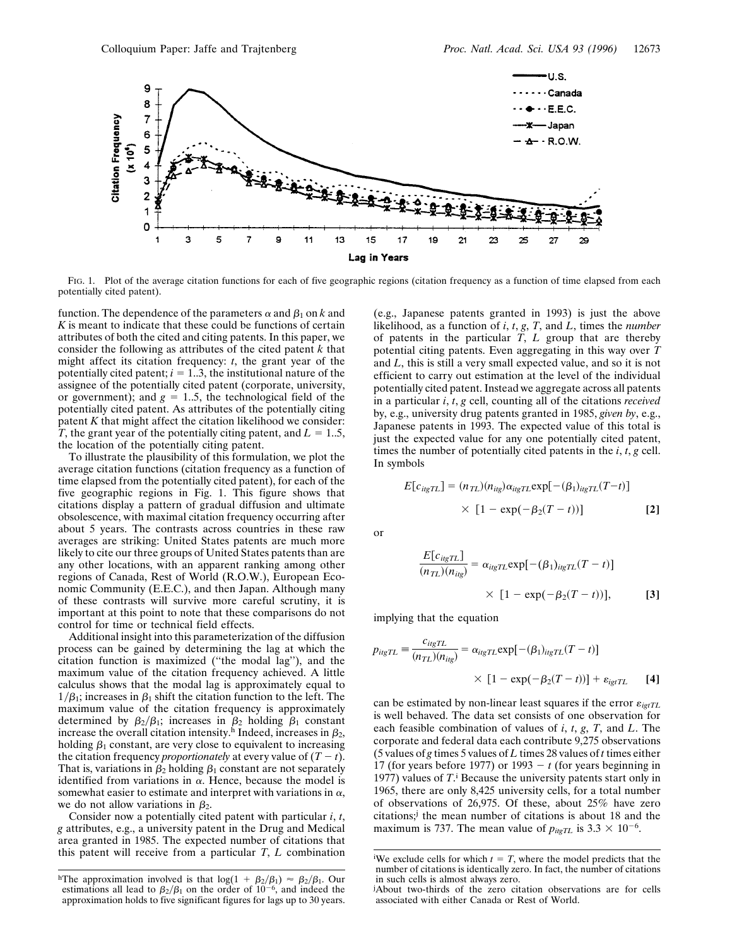

FIG. 1. Plot of the average citation functions for each of five geographic regions (citation frequency as a function of time elapsed from each potentially cited patent).

function. The dependence of the parameters  $\alpha$  and  $\beta_1$  on *k* and *K* is meant to indicate that these could be functions of certain attributes of both the cited and citing patents. In this paper, we consider the following as attributes of the cited patent *k* that might affect its citation frequency: *t*, the grant year of the potentially cited patent;  $i = 1..3$ , the institutional nature of the assignee of the potentially cited patent (corporate, university, or government); and  $g = 1.5$ , the technological field of the potentially cited patent. As attributes of the potentially citing patent *K* that might affect the citation likelihood we consider: *T*, the grant year of the potentially citing patent, and  $L = 1.5$ , the location of the potentially citing patent.

To illustrate the plausibility of this formulation, we plot the average citation functions (citation frequency as a function of time elapsed from the potentially cited patent), for each of the five geographic regions in Fig. 1. This figure shows that citations display a pattern of gradual diffusion and ultimate obsolescence, with maximal citation frequency occurring after about 5 years. The contrasts across countries in these raw averages are striking: United States patents are much more likely to cite our three groups of United States patents than are any other locations, with an apparent ranking among other regions of Canada, Rest of World (R.O.W.), European Economic Community (E.E.C.), and then Japan. Although many of these contrasts will survive more careful scrutiny, it is important at this point to note that these comparisons do not control for time or technical field effects.

Additional insight into this parameterization of the diffusion process can be gained by determining the lag at which the citation function is maximized (''the modal lag''), and the maximum value of the citation frequency achieved. A little calculus shows that the modal lag is approximately equal to  $1/\beta_1$ ; increases in  $\beta_1$  shift the citation function to the left. The maximum value of the citation frequency is approximately determined by  $\beta_2/\beta_1$ ; increases in  $\beta_2$  holding  $\beta_1$  constant increase the overall citation intensity.<sup>h</sup> Indeed, increases in  $\beta_2$ , holding  $\beta_1$  constant, are very close to equivalent to increasing the citation frequency *proportionately* at every value of  $(T - t)$ . That is, variations in  $\beta_2$  holding  $\beta_1$  constant are not separately identified from variations in  $\alpha$ . Hence, because the model is somewhat easier to estimate and interpret with variations in  $\alpha$ , we do not allow variations in  $\beta_2$ .

Consider now a potentially cited patent with particular *i*, *t*, *g* attributes, e.g., a university patent in the Drug and Medical area granted in 1985. The expected number of citations that this patent will receive from a particular *T*, *L* combination (e.g., Japanese patents granted in 1993) is just the above likelihood, as a function of *i*, *t*, *g*, *T*, and *L*, times the *number* of patents in the particular *T*, *L* group that are thereby potential citing patents. Even aggregating in this way over *T* and *L*, this is still a very small expected value, and so it is not efficient to carry out estimation at the level of the individual potentially cited patent. Instead we aggregate across all patents in a particular *i*, *t*, *g* cell, counting all of the citations *received* by, e.g., university drug patents granted in 1985, *given by*, e.g., Japanese patents in 1993. The expected value of this total is just the expected value for any one potentially cited patent, times the number of potentially cited patents in the *i*, *t*, *g* cell. In symbols

$$
E[c_{\text{ing}TL}] = (n_{TL})(n_{\text{ing}})\alpha_{\text{ing}TL} \exp[-(\beta_1)_{\text{ing}TL}(T-t)]
$$
  
 
$$
\times [1 - \exp(-\beta_2(T-t))]
$$
 [2]

or

$$
\frac{E[c_{\text{tigTL}}]}{(n_{\text{TL}})(n_{\text{tig}})} = \alpha_{\text{tigTL}} \exp[-(\beta_1)_{\text{tigTL}}(T - t)]
$$

$$
\times [1 - \exp(-\beta_2(T - t))], \tag{3}
$$

implying that the equation

$$
p_{iigTL} \equiv \frac{c_{iigTL}}{(n_{TL})(n_{iig})} = \alpha_{iigTL} \exp[-(\beta_1)_{iigTL}(T-t)]
$$
  
 
$$
\times [1 - \exp(-\beta_2(T-t))] + \varepsilon_{igtTL}
$$
 [4]

can be estimated by non-linear least squares if the error  $\varepsilon_{\text{left}}$ is well behaved. The data set consists of one observation for each feasible combination of values of *i*, *t*, *g*, *T*, and *L*. The corporate and federal data each contribute 9,275 observations (5 values of *g* times 5 values of *L* times 28 values of *t* times either 17 (for years before 1977) or 1993  $-t$  (for years beginning in 1977) values of  $T$ <sup>:</sup> Because the university patents start only in 1965, there are only 8,425 university cells, for a total number of observations of 26,975. Of these, about 25% have zero citations;<sup>j</sup> the mean number of citations is about 18 and the maximum is 737. The mean value of  $p_{\text{trgTL}}$  is 3.3  $\times$  10<sup>-6</sup>.

<sup>&</sup>lt;sup>h</sup>The approximation involved is that  $log(1 + \beta_2/\beta_1) \approx \beta_2/\beta_1$ . Our estimations all lead to  $\beta_2/\beta_1$  on the order of  $10^{-6}$ , and indeed the approximation holds to five significant figures for lags up to 30 years.

<sup>&</sup>lt;sup>i</sup>We exclude cells for which  $t = T$ , where the model predicts that the number of citations is identically zero. In fact, the number of citations in such cells is almost always zero.

j About two-thirds of the zero citation observations are for cells associated with either Canada or Rest of World.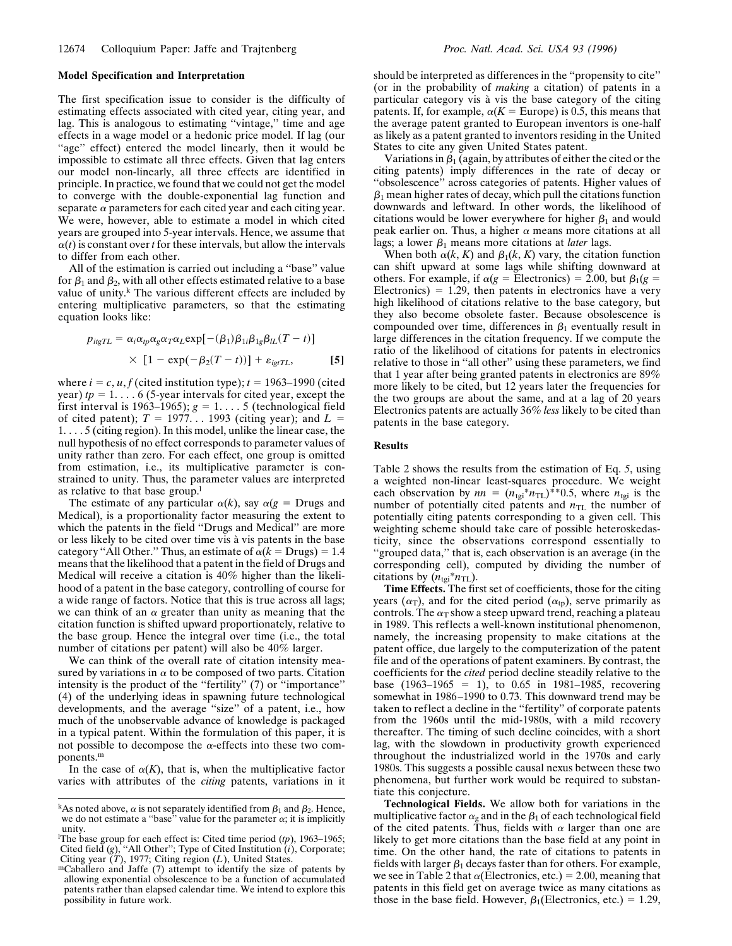## **Model Specification and Interpretation**

The first specification issue to consider is the difficulty of estimating effects associated with cited year, citing year, and lag. This is analogous to estimating ''vintage,'' time and age effects in a wage model or a hedonic price model. If lag (our "age" effect) entered the model linearly, then it would be impossible to estimate all three effects. Given that lag enters our model non-linearly, all three effects are identified in principle. In practice, we found that we could not get the model to converge with the double-exponential lag function and separate  $\alpha$  parameters for each cited year and each citing year. We were, however, able to estimate a model in which cited years are grouped into 5-year intervals. Hence, we assume that  $\alpha(t)$  is constant over *t* for these intervals, but allow the intervals to differ from each other.

All of the estimation is carried out including a ''base'' value for  $\beta_1$  and  $\beta_2$ , with all other effects estimated relative to a base value of unity. $k$  The various different effects are included by entering multiplicative parameters, so that the estimating equation looks like:

$$
p_{\text{tigTL}} = \alpha_i \alpha_{\text{tp}} \alpha_{\text{g}} \alpha_T \alpha_L \exp[-(\beta_1) \beta_{1i} \beta_{1g} \beta_{\text{IL}} (T - t)]
$$
  
 
$$
\times [1 - \exp(-\beta_2 (T - t))] + \varepsilon_{\text{igTL}},
$$
 [5]

where  $i = c, u, f$  (cited institution type);  $t = 1963-1990$  (cited year)  $tp = 1. \ldots 6$  (5-year intervals for cited year, except the first interval is 1963–1965);  $g = 1, \ldots, 5$  (technological field of cited patent);  $T = 1977...$  1993 (citing year); and  $L =$ 1. . . . 5 (citing region). In this model, unlike the linear case, the null hypothesis of no effect corresponds to parameter values of unity rather than zero. For each effect, one group is omitted from estimation, i.e., its multiplicative parameter is constrained to unity. Thus, the parameter values are interpreted as relative to that base group.<sup>1</sup>

The estimate of any particular  $\alpha(k)$ , say  $\alpha(g)$  = Drugs and Medical), is a proportionality factor measuring the extent to which the patents in the field ''Drugs and Medical'' are more or less likely to be cited over time vis a` vis patents in the base category "All Other." Thus, an estimate of  $\alpha(k = Drugs) = 1.4$ means that the likelihood that a patent in the field of Drugs and Medical will receive a citation is 40% higher than the likelihood of a patent in the base category, controlling of course for a wide range of factors. Notice that this is true across all lags; we can think of an  $\alpha$  greater than unity as meaning that the citation function is shifted upward proportionately, relative to the base group. Hence the integral over time (i.e., the total number of citations per patent) will also be 40% larger.

We can think of the overall rate of citation intensity measured by variations in  $\alpha$  to be composed of two parts. Citation intensity is the product of the ''fertility'' (7) or ''importance'' (4) of the underlying ideas in spawning future technological developments, and the average "size" of a patent, i.e., how much of the unobservable advance of knowledge is packaged in a typical patent. Within the formulation of this paper, it is not possible to decompose the  $\alpha$ -effects into these two components.<sup>m</sup>

In the case of  $\alpha(K)$ , that is, when the multiplicative factor varies with attributes of the *citing* patents, variations in it

should be interpreted as differences in the ''propensity to cite'' (or in the probability of *making* a citation) of patents in a particular category vis à vis the base category of the citing patents. If, for example,  $\alpha(K = \text{Europe})$  is 0.5, this means that the average patent granted to European inventors is one-half as likely as a patent granted to inventors residing in the United States to cite any given United States patent.

Variations in  $\beta_1$  (again, by attributes of either the cited or the citing patents) imply differences in the rate of decay or ''obsolescence'' across categories of patents. Higher values of  $\beta_1$  mean higher rates of decay, which pull the citations function downwards and leftward. In other words, the likelihood of citations would be lower everywhere for higher  $\beta_1$  and would peak earlier on. Thus, a higher  $\alpha$  means more citations at all lags; a lower  $\beta_1$  means more citations at *later* lags.

When both  $\alpha(k, K)$  and  $\beta_1(k, K)$  vary, the citation function can shift upward at some lags while shifting downward at others. For example, if  $\alpha(g)$  = Electronics) = 2.00, but  $\beta_1(g)$  = Electronics) =  $1.29$ , then patents in electronics have a very high likelihood of citations relative to the base category, but they also become obsolete faster. Because obsolescence is compounded over time, differences in  $\beta_1$  eventually result in large differences in the citation frequency. If we compute the ratio of the likelihood of citations for patents in electronics relative to those in ''all other'' using these parameters, we find that 1 year after being granted patents in electronics are 89% more likely to be cited, but 12 years later the frequencies for the two groups are about the same, and at a lag of 20 years Electronics patents are actually 36% *less* likely to be cited than patents in the base category.

#### **Results**

Table 2 shows the results from the estimation of Eq. *5*, using a weighted non-linear least-squares procedure. We weight each observation by  $nn = (n_{\text{tgi}} * n_{\text{TL}}) * 0.5$ , where  $n_{\text{tgi}}$  is the number of potentially cited patents and  $n_{TL}$  the number of potentially citing patents corresponding to a given cell. This weighting scheme should take care of possible heteroskedasticity, since the observations correspond essentially to "grouped data," that is, each observation is an average (in the corresponding cell), computed by dividing the number of citations by  $(n_{\text{tgi}} * n_{\text{TL}})$ .

**Time Effects.** The first set of coefficients, those for the citing years ( $\alpha_T$ ), and for the cited period ( $\alpha_{tp}$ ), serve primarily as controls. The  $\alpha_T$  show a steep upward trend, reaching a plateau in 1989. This reflects a well-known institutional phenomenon, namely, the increasing propensity to make citations at the patent office, due largely to the computerization of the patent file and of the operations of patent examiners. By contrast, the coefficients for the *cited* period decline steadily relative to the base  $(1963-1965 = 1)$ , to 0.65 in 1981–1985, recovering somewhat in 1986–1990 to 0.73. This downward trend may be taken to reflect a decline in the ''fertility'' of corporate patents from the 1960s until the mid-1980s, with a mild recovery thereafter. The timing of such decline coincides, with a short lag, with the slowdown in productivity growth experienced throughout the industrialized world in the 1970s and early 1980s. This suggests a possible causal nexus between these two phenomena, but further work would be required to substantiate this conjecture.

**Technological Fields.** We allow both for variations in the multiplicative factor  $\alpha_{g}$  and in the  $\beta_{1}$  of each technological field of the cited patents. Thus, fields with  $\alpha$  larger than one are likely to get more citations than the base field at any point in time. On the other hand, the rate of citations to patents in fields with larger  $\beta_1$  decays faster than for others. For example, we see in Table 2 that  $\alpha$ (Electronics, etc.) = 2.00, meaning that patents in this field get on average twice as many citations as those in the base field. However,  $\beta_1$ (Electronics, etc.) = 1.29,

<sup>&</sup>lt;sup>k</sup>As noted above,  $\alpha$  is not separately identified from  $\beta_1$  and  $\beta_2$ . Hence, we do not estimate a "base" value for the parameter  $\alpha$ ; it is implicitly unity.

l The base group for each effect is: Cited time period (*tp*), 1963–1965; Cited field (*g*), ''All Other''; Type of Cited Institution (*i*), Corporate; Citing year  $(T)$ , 1977; Citing region (*L*), United States.<br>"Caballero and Jaffe (7) attempt to identify the size of patents by

allowing exponential obsolescence to be a function of accumulated patents rather than elapsed calendar time. We intend to explore this possibility in future work.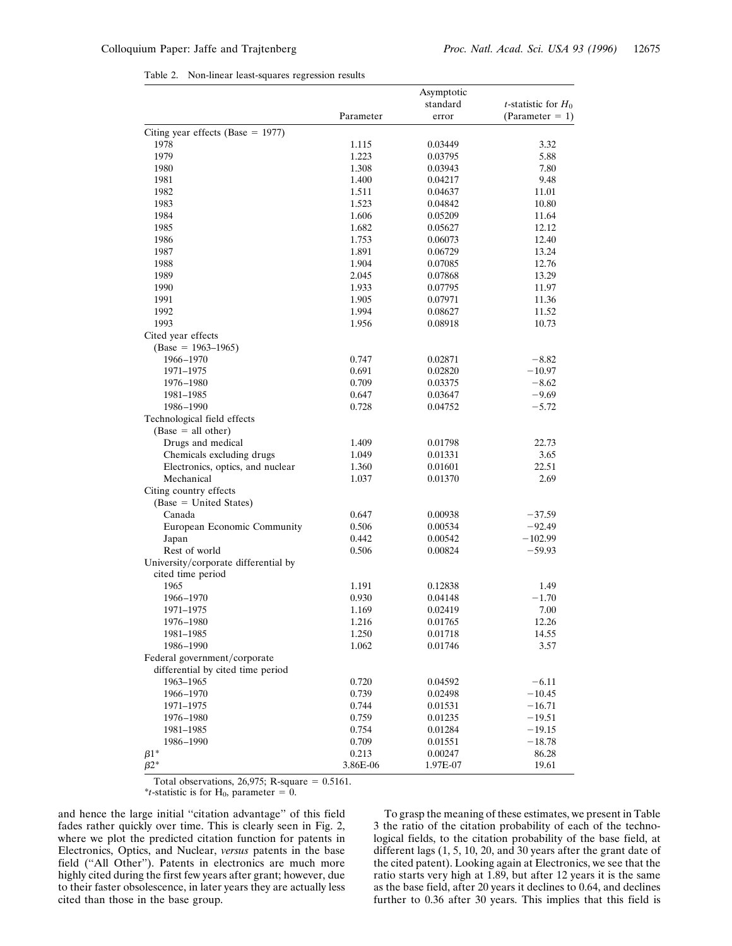| Table 2. Non-linear least-squares regression results |  |  |  |
|------------------------------------------------------|--|--|--|
|------------------------------------------------------|--|--|--|

|                                                  | Asymptotic     |                    |                               |  |  |
|--------------------------------------------------|----------------|--------------------|-------------------------------|--|--|
|                                                  |                | standard           | <i>t</i> -statistic for $H_0$ |  |  |
|                                                  | Parameter      | error              | $(Parameter = 1)$             |  |  |
| Citing year effects (Base = $1977$ )             |                |                    |                               |  |  |
| 1978                                             | 1.115          | 0.03449            | 3.32                          |  |  |
| 1979                                             | 1.223          | 0.03795            | 5.88                          |  |  |
| 1980                                             | 1.308          | 0.03943            | 7.80                          |  |  |
| 1981                                             | 1.400          | 0.04217            | 9.48                          |  |  |
| 1982                                             | 1.511          | 0.04637            | 11.01                         |  |  |
| 1983                                             | 1.523          | 0.04842            | 10.80                         |  |  |
| 1984                                             | 1.606          | 0.05209            | 11.64                         |  |  |
| 1985                                             | 1.682          | 0.05627            | 12.12                         |  |  |
| 1986                                             | 1.753          | 0.06073            | 12.40                         |  |  |
| 1987                                             | 1.891          | 0.06729            | 13.24                         |  |  |
| 1988                                             | 1.904          | 0.07085            | 12.76                         |  |  |
| 1989                                             | 2.045          | 0.07868            | 13.29                         |  |  |
| 1990                                             | 1.933          | 0.07795            | 11.97                         |  |  |
| 1991                                             | 1.905          | 0.07971            | 11.36                         |  |  |
| 1992                                             | 1.994          | 0.08627            | 11.52                         |  |  |
| 1993                                             | 1.956          | 0.08918            | 10.73                         |  |  |
| Cited year effects                               |                |                    |                               |  |  |
| $(Base = 1963 - 1965)$                           |                |                    |                               |  |  |
| 1966-1970                                        | 0.747          | 0.02871            | $-8.82$                       |  |  |
| 1971-1975                                        | 0.691          | 0.02820            | $-10.97$                      |  |  |
| 1976-1980                                        | 0.709          | 0.03375            | $-8.62$                       |  |  |
| 1981-1985                                        | 0.647          | 0.03647            | $-9.69$                       |  |  |
| 1986-1990                                        | 0.728          | 0.04752            | $-5.72$                       |  |  |
| Technological field effects                      |                |                    |                               |  |  |
| $(Base = all other)$                             |                |                    |                               |  |  |
| Drugs and medical                                | 1.409          | 0.01798            | 22.73                         |  |  |
| Chemicals excluding drugs                        | 1.049          | 0.01331            | 3.65                          |  |  |
| Electronics, optics, and nuclear                 | 1.360          | 0.01601            | 22.51                         |  |  |
| Mechanical                                       | 1.037          | 0.01370            | 2.69                          |  |  |
|                                                  |                |                    |                               |  |  |
| Citing country effects<br>(Base = United States) |                |                    |                               |  |  |
| Canada                                           | 0.647          | 0.00938            | $-37.59$                      |  |  |
| European Economic Community                      | 0.506          | 0.00534            | $-92.49$                      |  |  |
| Japan                                            | 0.442          | 0.00542            | $-102.99$                     |  |  |
| Rest of world                                    | 0.506          | 0.00824            | $-59.93$                      |  |  |
| University/corporate differential by             |                |                    |                               |  |  |
| cited time period                                |                |                    |                               |  |  |
| 1965                                             | 1.191          | 0.12838            | 1.49                          |  |  |
| 1966-1970                                        | 0.930          | 0.04148            | $-1.70$                       |  |  |
| 1971-1975                                        | 1.169          | 0.02419            | 7.00                          |  |  |
| 1976-1980                                        | 1.216          | 0.01765            | 12.26                         |  |  |
| 1981-1985                                        | 1.250          | 0.01718            | 14.55                         |  |  |
| 1986-1990                                        | 1.062          | 0.01746            | 3.57                          |  |  |
| Federal government/corporate                     |                |                    |                               |  |  |
| differential by cited time period                |                |                    |                               |  |  |
| 1963-1965                                        |                | 0.04592            |                               |  |  |
| 1966-1970                                        | 0.720<br>0.739 | 0.02498            | $-6.11$<br>$-10.45$           |  |  |
| 1971-1975                                        | 0.744          |                    | $-16.71$                      |  |  |
| 1976-1980                                        | 0.759          | 0.01531<br>0.01235 | $-19.51$                      |  |  |
| 1981-1985                                        | 0.754          | 0.01284            | $-19.15$                      |  |  |
| 1986-1990                                        | 0.709          |                    |                               |  |  |
|                                                  |                | 0.01551            | $-18.78$                      |  |  |
| $\beta1^*$                                       | 0.213          | 0.00247            | 86.28                         |  |  |
| $\beta$ 2*                                       | 3.86E-06       | 1.97E-07           | 19.61                         |  |  |

Total observations, 26,975; R-square  $= 0.5161$ .

\**t*-statistic is for  $H_0$ , parameter = 0.

and hence the large initial ''citation advantage'' of this field fades rather quickly over time. This is clearly seen in Fig. 2, where we plot the predicted citation function for patents in Electronics, Optics, and Nuclear, *versus* patents in the base field (''All Other''). Patents in electronics are much more highly cited during the first few years after grant; however, due to their faster obsolescence, in later years they are actually less cited than those in the base group.

To grasp the meaning of these estimates, we present in Table 3 the ratio of the citation probability of each of the technological fields, to the citation probability of the base field, at different lags (1, 5, 10, 20, and 30 years after the grant date of the cited patent). Looking again at Electronics, we see that the ratio starts very high at 1.89, but after 12 years it is the same as the base field, after 20 years it declines to 0.64, and declines further to 0.36 after 30 years. This implies that this field is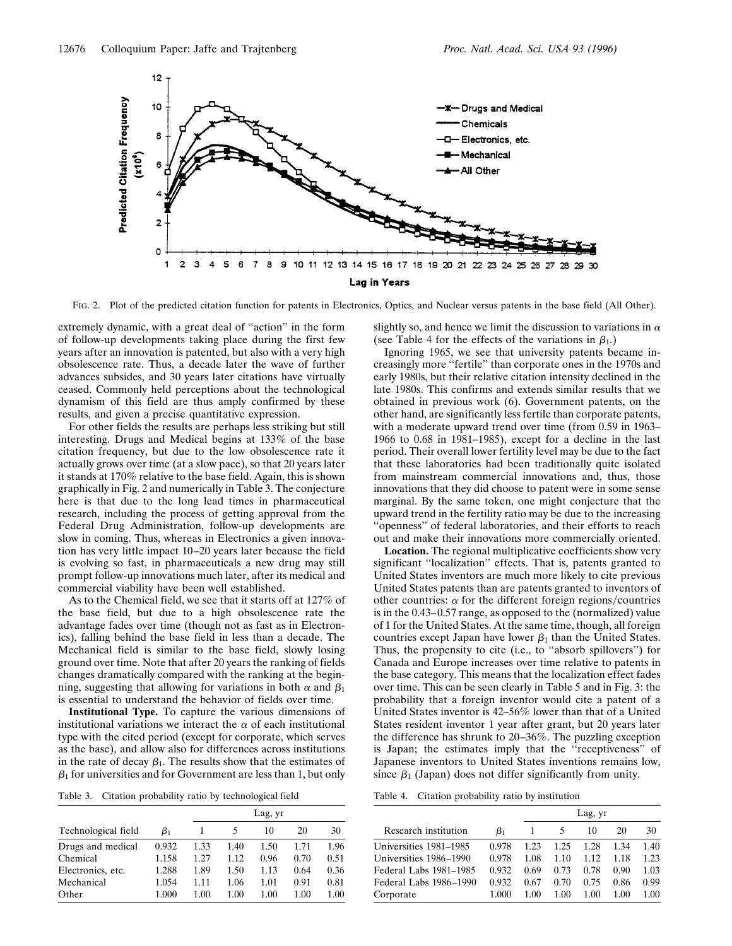

FIG. 2. Plot of the predicted citation function for patents in Electronics, Optics, and Nuclear versus patents in the base field (All Other).

extremely dynamic, with a great deal of ''action'' in the form of follow-up developments taking place during the first few years after an innovation is patented, but also with a very high obsolescence rate. Thus, a decade later the wave of further advances subsides, and 30 years later citations have virtually ceased. Commonly held perceptions about the technological dynamism of this field are thus amply confirmed by these results, and given a precise quantitative expression.

For other fields the results are perhaps less striking but still interesting. Drugs and Medical begins at 133% of the base citation frequency, but due to the low obsolescence rate it actually grows over time (at a slow pace), so that 20 years later it stands at 170% relative to the base field. Again, this is shown graphically in Fig. 2 and numerically in Table 3. The conjecture here is that due to the long lead times in pharmaceutical research, including the process of getting approval from the Federal Drug Administration, follow-up developments are slow in coming. Thus, whereas in Electronics a given innovation has very little impact 10–20 years later because the field is evolving so fast, in pharmaceuticals a new drug may still prompt follow-up innovations much later, after its medical and commercial viability have been well established.

As to the Chemical field, we see that it starts off at 127% of the base field, but due to a high obsolescence rate the advantage fades over time (though not as fast as in Electronics), falling behind the base field in less than a decade. The Mechanical field is similar to the base field, slowly losing ground over time. Note that after 20 years the ranking of fields changes dramatically compared with the ranking at the beginning, suggesting that allowing for variations in both  $\alpha$  and  $\beta_1$ is essential to understand the behavior of fields over time.

**Institutional Type.** To capture the various dimensions of institutional variations we interact the  $\alpha$  of each institutional type with the cited period (except for corporate, which serves as the base), and allow also for differences across institutions in the rate of decay  $\beta_1$ . The results show that the estimates of  $\beta_1$  for universities and for Government are less than 1, but only

Table 3. Citation probability ratio by technological field

|                     |           |      |      | Lag, yr |      |      |
|---------------------|-----------|------|------|---------|------|------|
| Technological field | $\beta_1$ |      |      | 10      | 20   | 30   |
| Drugs and medical   | 0.932     | 1.33 | 1.40 | 1.50    | 1.71 | 1.96 |
| Chemical            | 1.158     | 1.27 | 1.12 | 0.96    | 0.70 | 0.51 |
| Electronics, etc.   | 1.288     | 1.89 | 1.50 | 1.13    | 0.64 | 0.36 |
| Mechanical          | 1.054     | 1.11 | 1.06 | 1.01    | 0.91 | 0.81 |
| Other               | 1.000     | 1.00 | 1.00 | 1.00    | 1.00 | 1.00 |

slightly so, and hence we limit the discussion to variations in  $\alpha$ (see Table 4 for the effects of the variations in  $\beta_1$ .)

Ignoring 1965, we see that university patents became increasingly more ''fertile'' than corporate ones in the 1970s and early 1980s, but their relative citation intensity declined in the late 1980s. This confirms and extends similar results that we obtained in previous work (6). Government patents, on the other hand, are significantly less fertile than corporate patents, with a moderate upward trend over time (from 0.59 in 1963– 1966 to 0.68 in 1981–1985), except for a decline in the last period. Their overall lower fertility level may be due to the fact that these laboratories had been traditionally quite isolated from mainstream commercial innovations and, thus, those innovations that they did choose to patent were in some sense marginal. By the same token, one might conjecture that the upward trend in the fertility ratio may be due to the increasing "openness" of federal laboratories, and their efforts to reach out and make their innovations more commercially oriented.

**Location.** The regional multiplicative coefficients show very significant ''localization'' effects. That is, patents granted to United States inventors are much more likely to cite previous United States patents than are patents granted to inventors of other countries:  $\alpha$  for the different foreign regions/countries is in the 0.43–0.57 range, as opposed to the (normalized) value of 1 for the United States. At the same time, though, all foreign countries except Japan have lower  $\beta_1$  than the United States. Thus, the propensity to cite (i.e., to ''absorb spillovers'') for Canada and Europe increases over time relative to patents in the base category. This means that the localization effect fades over time. This can be seen clearly in Table 5 and in Fig. 3: the probability that a foreign inventor would cite a patent of a United States inventor is 42–56% lower than that of a United States resident inventor 1 year after grant, but 20 years later the difference has shrunk to 20–36%. The puzzling exception is Japan; the estimates imply that the ''receptiveness'' of Japanese inventors to United States inventions remains low, since  $\beta_1$  (Japan) does not differ significantly from unity.

Table 4. Citation probability ratio by institution

|                        |           | Lag, yr |      |      |      |      |
|------------------------|-----------|---------|------|------|------|------|
| Research institution   | $\beta_1$ |         |      | 10   | 20   | 30   |
| Universities 1981–1985 | 0.978     | 1 23    | 1.25 | 1.28 | 1.34 | 1.40 |
| Universities 1986–1990 | 0.978     | 1.08    | 1.10 | 1.12 | 1.18 | 1.23 |
| Federal Labs 1981–1985 | 0.932     | 0.69    | 0.73 | 0.78 | 0.90 | 1.03 |
| Federal Labs 1986–1990 | 0.932     | 0.67    | 0.70 | 0.75 | 0.86 | 0.99 |
| Corporate              | 1.000     | 1.00    | 1.00 | 1.00 | 1 00 | 1.00 |